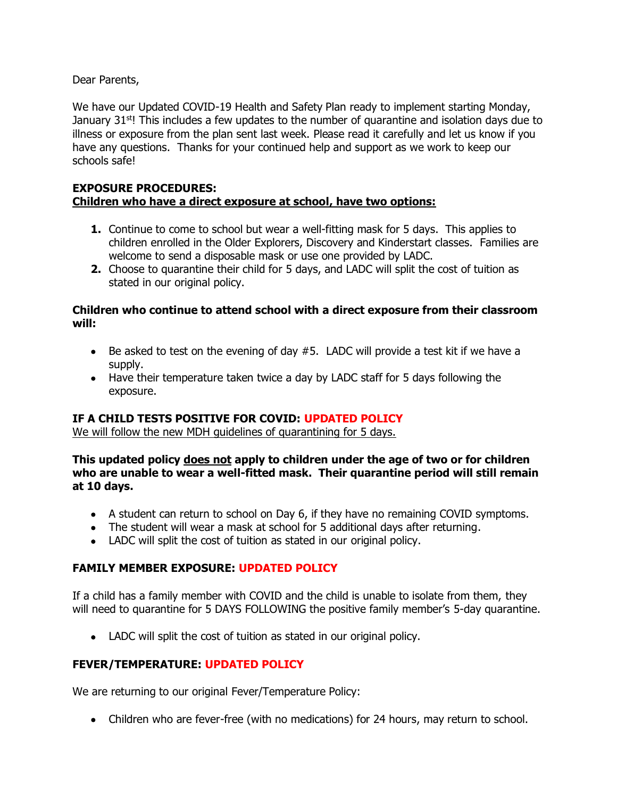Dear Parents,

We have our Updated COVID-19 Health and Safety Plan ready to implement starting Monday, January  $31<sup>st</sup>$ ! This includes a few updates to the number of quarantine and isolation days due to illness or exposure from the plan sent last week. Please read it carefully and let us know if you have any questions. Thanks for your continued help and support as we work to keep our schools safe!

#### **EXPOSURE PROCEDURES: Children who have a direct exposure at school, have two options:**

- **1.** Continue to come to school but wear a well-fitting mask for 5 days. This applies to children enrolled in the Older Explorers, Discovery and Kinderstart classes. Families are welcome to send a disposable mask or use one provided by LADC.
- **2.** Choose to quarantine their child for 5 days, and LADC will split the cost of tuition as stated in our original policy.

#### **Children who continue to attend school with a direct exposure from their classroom will:**

- Be asked to test on the evening of day #5. LADC will provide a test kit if we have a supply.
- Have their temperature taken twice a day by LADC staff for 5 days following the exposure.

# **IF A CHILD TESTS POSITIVE FOR COVID: UPDATED POLICY**

We will follow the new MDH guidelines of quarantining for 5 days.

**This updated policy does not apply to children under the age of two or for children who are unable to wear a well-fitted mask. Their quarantine period will still remain at 10 days.**

- A student can return to school on Day 6, if they have no remaining COVID symptoms.
- The student will wear a mask at school for 5 additional days after returning.
- LADC will split the cost of tuition as stated in our original policy.

# **FAMILY MEMBER EXPOSURE: UPDATED POLICY**

If a child has a family member with COVID and the child is unable to isolate from them, they will need to quarantine for 5 DAYS FOLLOWING the positive family member's 5-day quarantine.

• LADC will split the cost of tuition as stated in our original policy.

# **FEVER/TEMPERATURE: UPDATED POLICY**

We are returning to our original Fever/Temperature Policy:

• Children who are fever-free (with no medications) for 24 hours, may return to school.